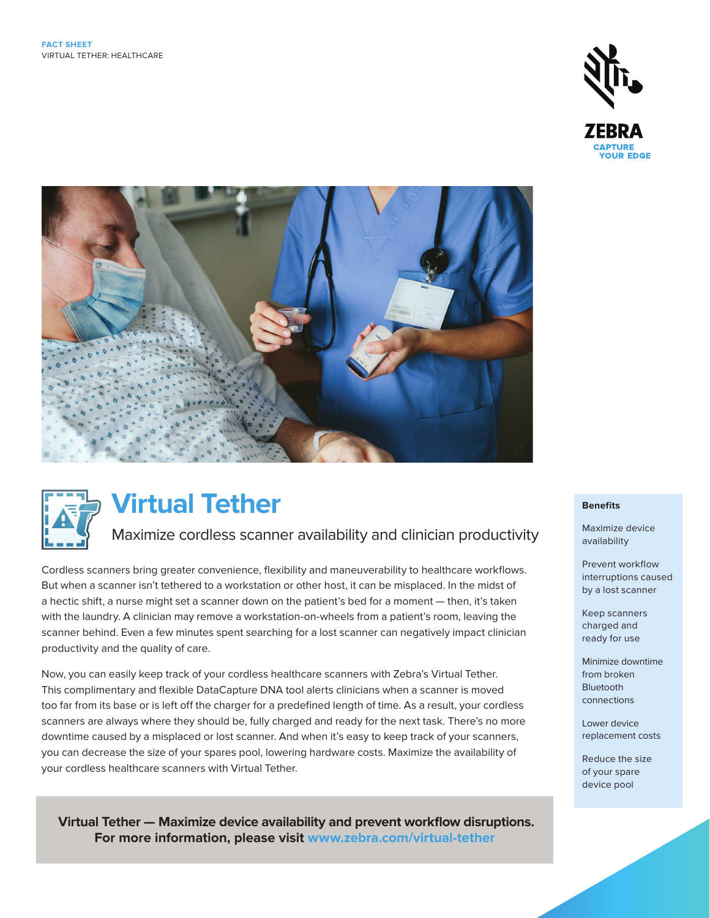





# **Virtual Tether**

# Maximize cordless scanner availability and clinician productivity

Cordless scanners bring greater convenience, flexibility and maneuverability to healthcare workflows. But when a scanner isn't tethered to a workstation or other host, it can be misplaced. In the midst of a hectic shift, a nurse might set a scanner down on the patient's bed for a moment — then, it's taken with the laundry. A clinician may remove a workstation-on-wheels from a patient's room, leaving the scanner behind. Even a few minutes spent searching for a lost scanner can negatively impact clinician productivity and the quality of care.

Now, you can easily keep track of your cordless healthcare scanners with Zebra's Virtual Tether. This complimentary and flexible DataCapture DNA tool alerts clinicians when a scanner is moved too far from its base or is left off the charger for a predefined length of time. As a result, your cordless scanners are always where they should be, fully charged and ready for the next task. There's no more downtime caused by a misplaced or lost scanner. And when it's easy to keep track of your scanners, you can decrease the size of your spares pool, lowering hardware costs. Maximize the availability of your cordless healthcare scanners with Virtual Tether.

 **Virtual Tether — Maximize device availability and prevent workflow disruptions. For more information, please visit [www.zebra.com/virtual-tether](http://www.zebra.com/virtual-tether)**

#### **Benefits**

Maximize device availability

Prevent workflow interruptions caused by a lost scanner

Keep scanners charged and ready for use

Minimize downtime from broken Bluetooth connections

Lower device replacement costs

Reduce the size of your spare device pool